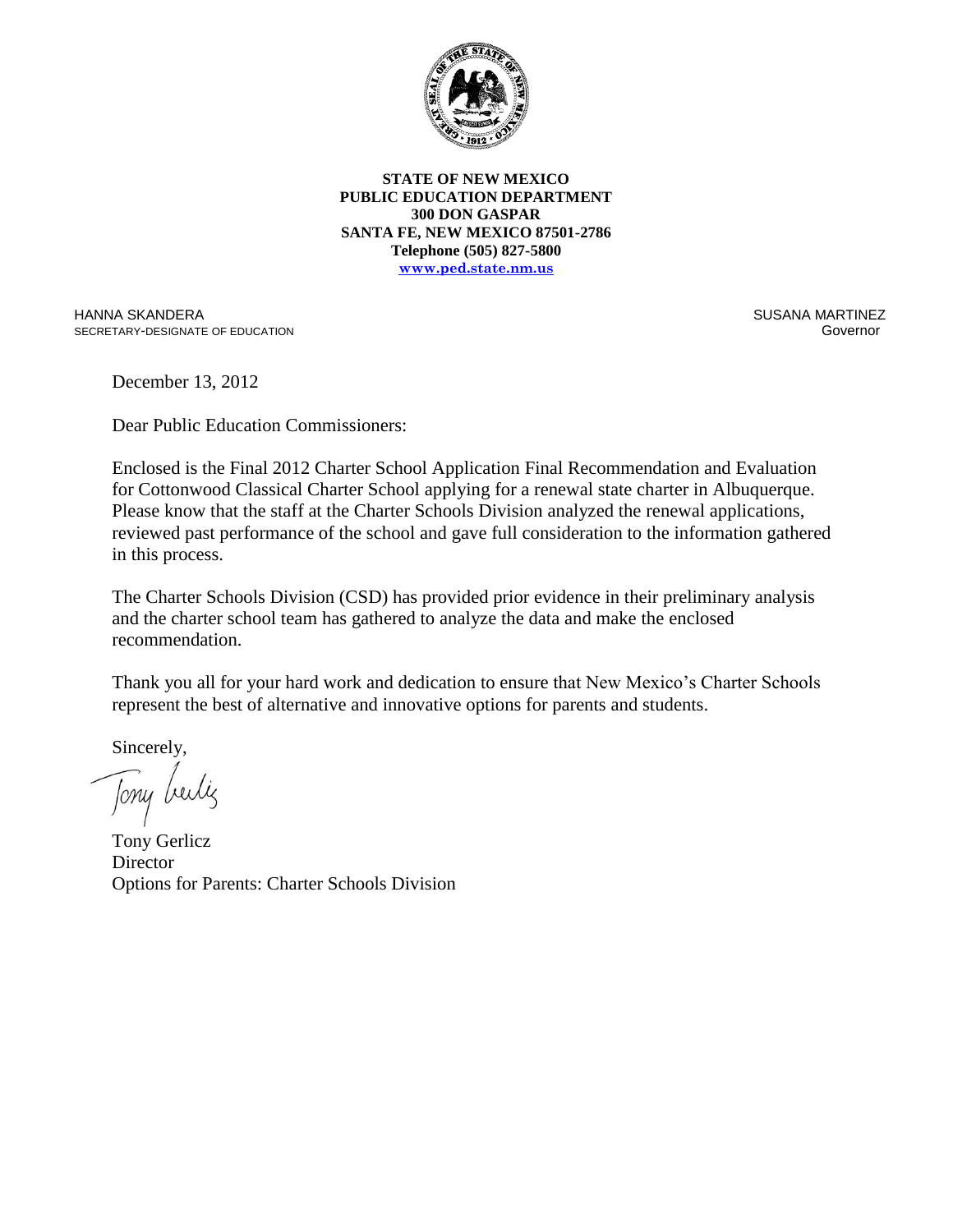

**STATE OF NEW MEXICO PUBLIC EDUCATION DEPARTMENT 300 DON GASPAR SANTA FE, NEW MEXICO 87501-2786 Telephone (505) 827-5800 www.ped.state.nm.us**

HANNA SKANDERA SECRETARY-DESIGNATE OF EDUCATION

 SUSANA MARTINEZ Governor (1999) and the contract of the contract of the contract of the contract of the contract of the contract of the contract of the contract of the contract of the contract of the contract of the contract of the contra

December 13, 2012

Dear Public Education Commissioners:

Enclosed is the Final 2012 Charter School Application Final Recommendation and Evaluation for Cottonwood Classical Charter School applying for a renewal state charter in Albuquerque. Please know that the staff at the Charter Schools Division analyzed the renewal applications, reviewed past performance of the school and gave full consideration to the information gathered in this process.

The Charter Schools Division (CSD) has provided prior evidence in their preliminary analysis and the charter school team has gathered to analyze the data and make the enclosed recommendation.

Thank you all for your hard work and dedication to ensure that New Mexico's Charter Schools represent the best of alternative and innovative options for parents and students.

Sincerely,

Jony beiliz

Tony Gerlicz **Director** Options for Parents: Charter Schools Division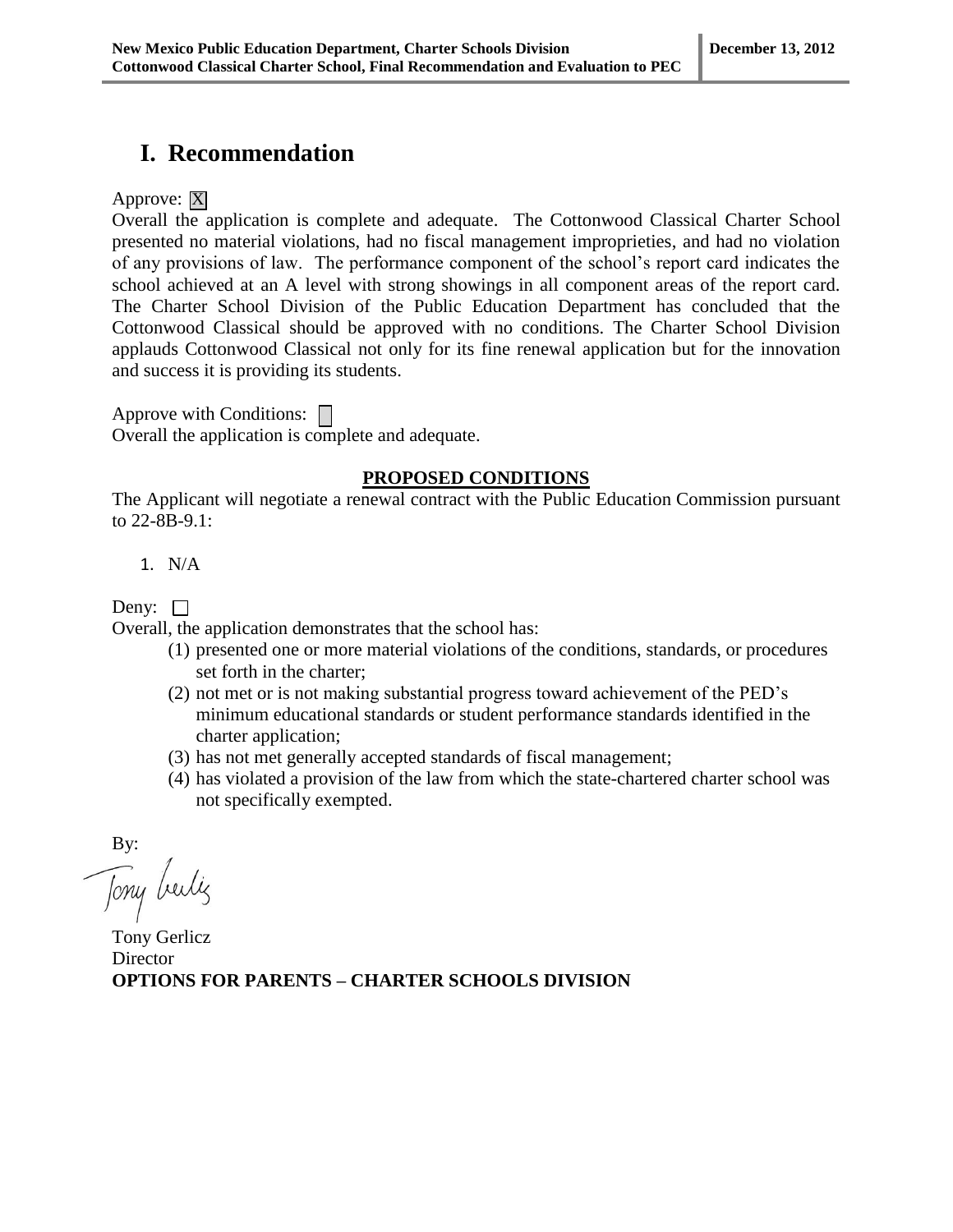## **I. Recommendation**

Approve:  $|\overline{X}|$ 

Overall the application is complete and adequate. The Cottonwood Classical Charter School presented no material violations, had no fiscal management improprieties, and had no violation of any provisions of law. The performance component of the school's report card indicates the school achieved at an A level with strong showings in all component areas of the report card. The Charter School Division of the Public Education Department has concluded that the Cottonwood Classical should be approved with no conditions. The Charter School Division applauds Cottonwood Classical not only for its fine renewal application but for the innovation and success it is providing its students.

Approve with Conditions:  $\Box$ Overall the application is complete and adequate.

#### **PROPOSED CONDITIONS**

The Applicant will negotiate a renewal contract with the Public Education Commission pursuant to 22-8B-9.1:

1. N/A

Deny:  $\square$ 

Overall, the application demonstrates that the school has:

- (1) presented one or more material violations of the conditions, standards, or procedures set forth in the charter;
- (2) not met or is not making substantial progress toward achievement of the PED's minimum educational standards or student performance standards identified in the charter application;
- (3) has not met generally accepted standards of fiscal management;
- (4) has violated a provision of the law from which the state-chartered charter school was not specifically exempted.

By:

Tony beilig

Tony Gerlicz **Director OPTIONS FOR PARENTS – CHARTER SCHOOLS DIVISION**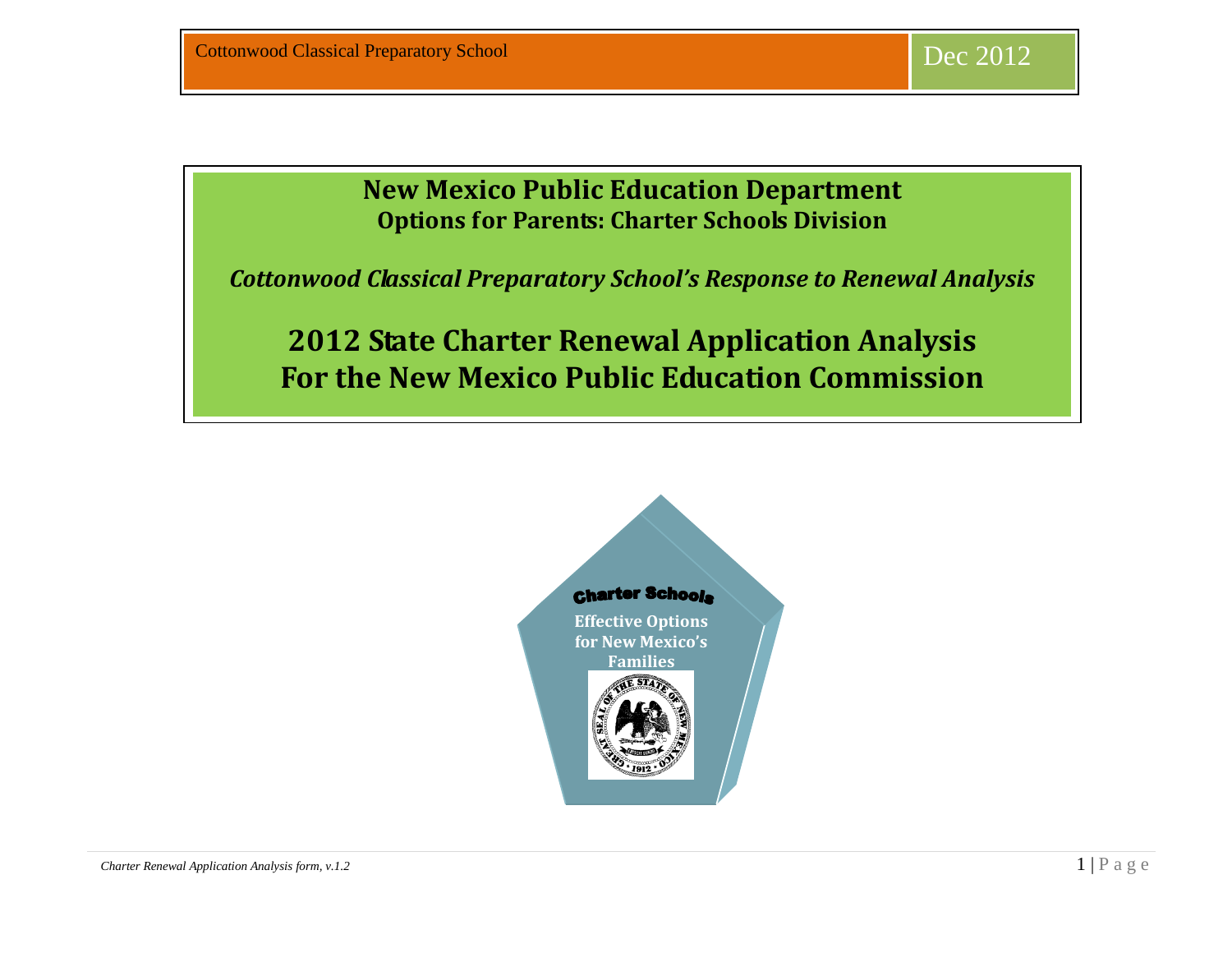# **New Mexico Public Education Department Options for Parents: Charter Schools Division**

Renewal Analysis *Cottonwood Classical Preparatory School's Response to Renewal Analysis*

**2012 State Charter Renewal Application Analysis For the New Mexico Public Education Commission**

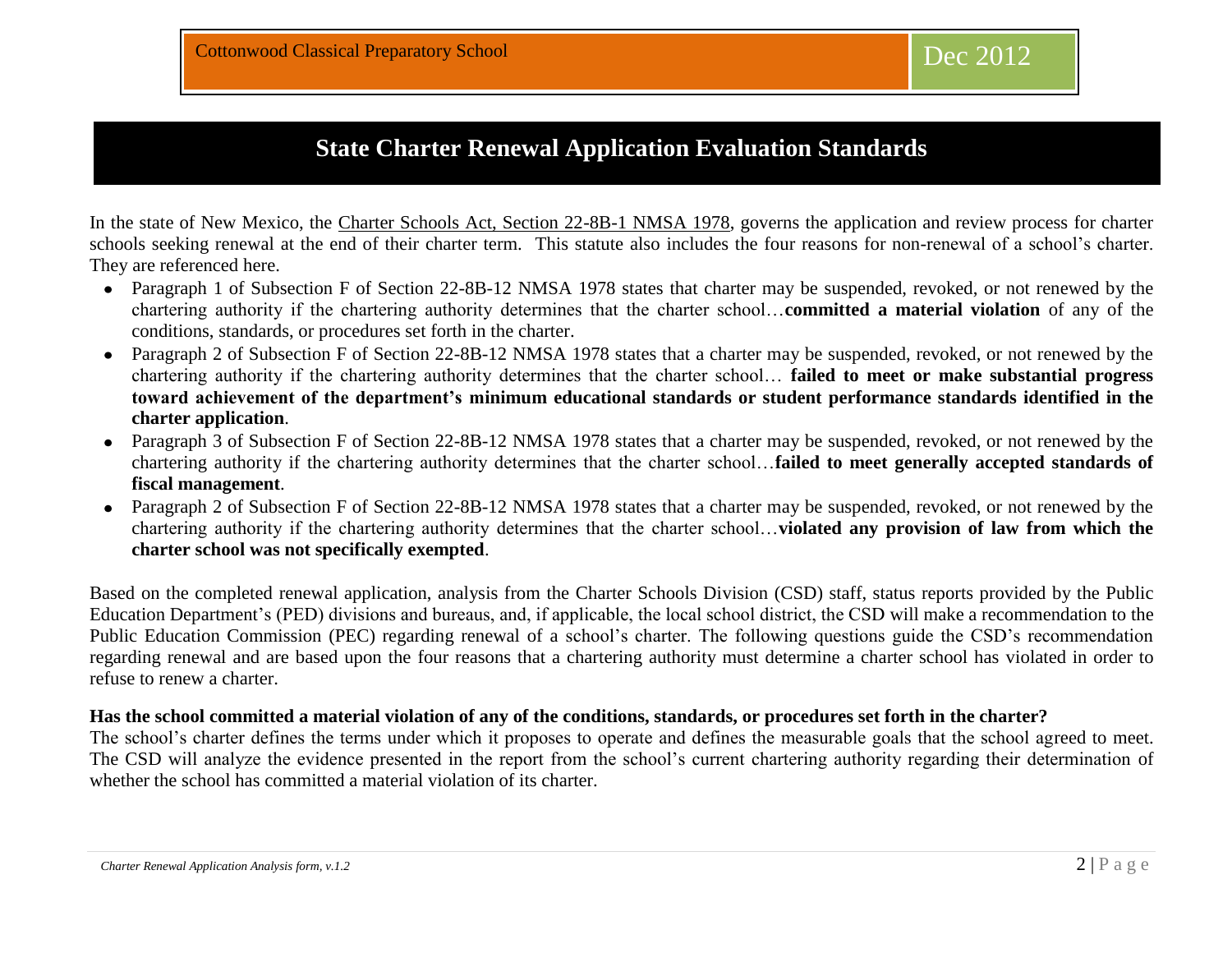# **State Charter Renewal Application Evaluation Standards**

In the state of New Mexico, the Charter Schools Act, Section 22-8B-1 NMSA 1978, governs the application and review process for charter schools seeking renewal at the end of their charter term. This statute also includes the four reasons for non-renewal of a school's charter. They are referenced here.

- Paragraph 1 of Subsection F of Section 22-8B-12 NMSA 1978 states that charter may be suspended, revoked, or not renewed by the chartering authority if the chartering authority determines that the charter school…**committed a material violation** of any of the conditions, standards, or procedures set forth in the charter.
- Paragraph 2 of Subsection F of Section 22-8B-12 NMSA 1978 states that a charter may be suspended, revoked, or not renewed by the  $\bullet$ chartering authority if the chartering authority determines that the charter school… **failed to meet or make substantial progress toward achievement of the department's minimum educational standards or student performance standards identified in the charter application**.
- Paragraph 3 of Subsection F of Section 22-8B-12 NMSA 1978 states that a charter may be suspended, revoked, or not renewed by the chartering authority if the chartering authority determines that the charter school…**failed to meet generally accepted standards of fiscal management**.
- Paragraph 2 of Subsection F of Section 22-8B-12 NMSA 1978 states that a charter may be suspended, revoked, or not renewed by the  $\bullet$ chartering authority if the chartering authority determines that the charter school…**violated any provision of law from which the charter school was not specifically exempted**.

Based on the completed renewal application, analysis from the Charter Schools Division (CSD) staff, status reports provided by the Public Education Department's (PED) divisions and bureaus, and, if applicable, the local school district, the CSD will make a recommendation to the Public Education Commission (PEC) regarding renewal of a school's charter. The following questions guide the CSD's recommendation regarding renewal and are based upon the four reasons that a chartering authority must determine a charter school has violated in order to refuse to renew a charter.

#### **Has the school committed a material violation of any of the conditions, standards, or procedures set forth in the charter?**

The school's charter defines the terms under which it proposes to operate and defines the measurable goals that the school agreed to meet. The CSD will analyze the evidence presented in the report from the school's current chartering authority regarding their determination of whether the school has committed a material violation of its charter.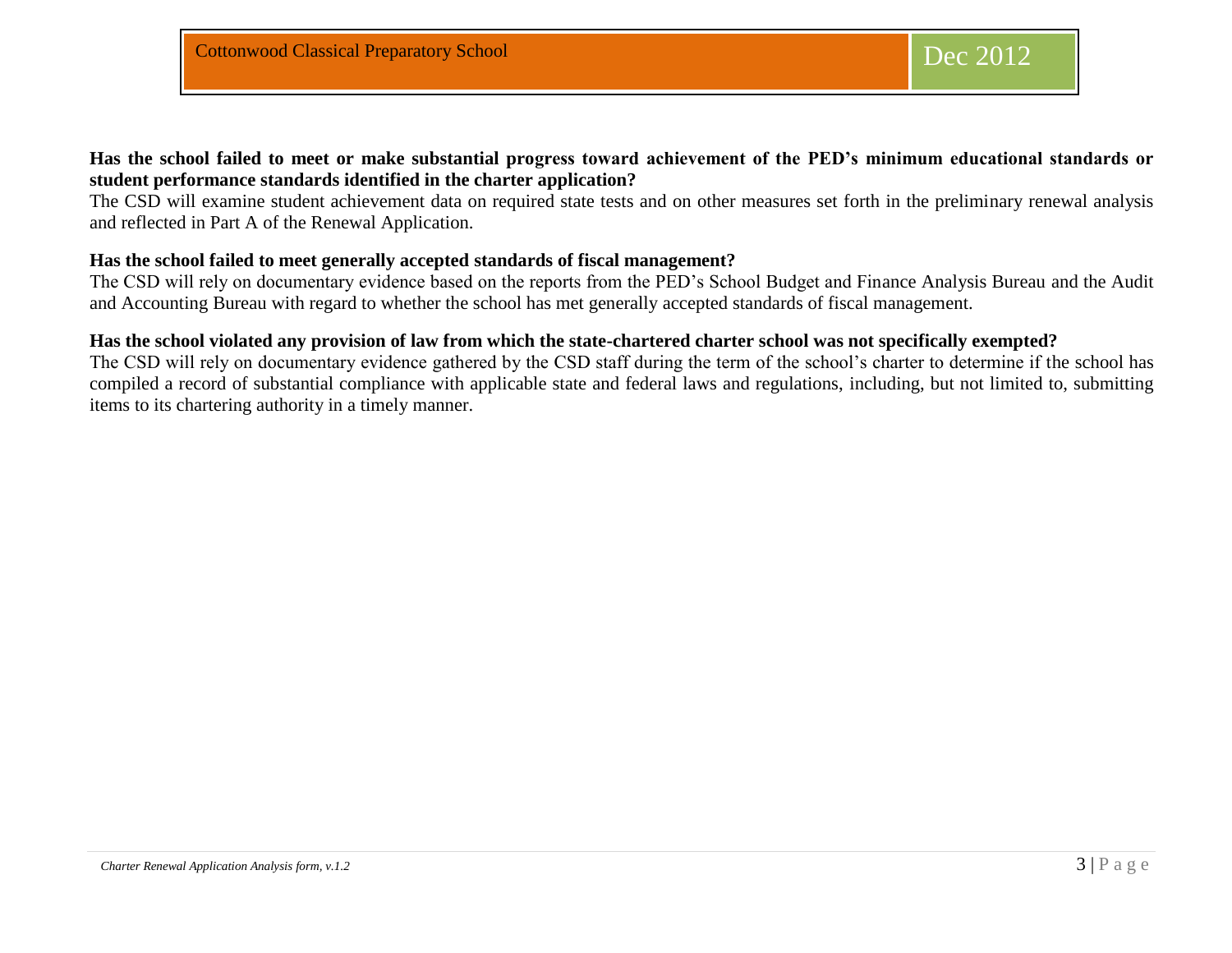### **Has the school failed to meet or make substantial progress toward achievement of the PED's minimum educational standards or student performance standards identified in the charter application?**

The CSD will examine student achievement data on required state tests and on other measures set forth in the preliminary renewal analysis and reflected in Part A of the Renewal Application.

#### **Has the school failed to meet generally accepted standards of fiscal management?**

The CSD will rely on documentary evidence based on the reports from the PED's School Budget and Finance Analysis Bureau and the Audit and Accounting Bureau with regard to whether the school has met generally accepted standards of fiscal management.

#### **Has the school violated any provision of law from which the state-chartered charter school was not specifically exempted?**

The CSD will rely on documentary evidence gathered by the CSD staff during the term of the school's charter to determine if the school has compiled a record of substantial compliance with applicable state and federal laws and regulations, including, but not limited to, submitting items to its chartering authority in a timely manner.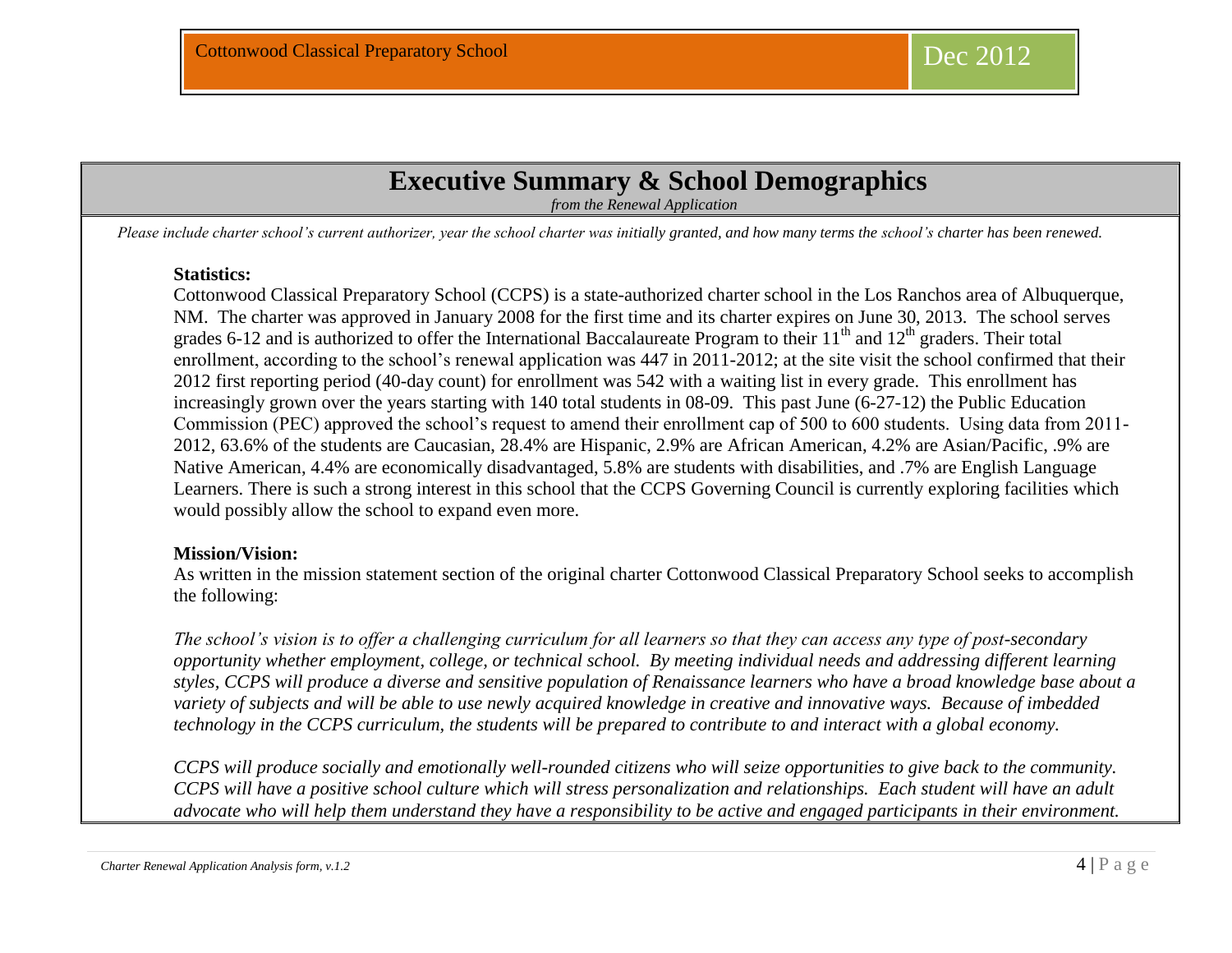# **Executive Summary & School Demographics**

*from the Renewal Application*

*Please include charter school's current authorizer, year the school charter was initially granted, and how many terms the school's charter has been renewed.*

#### **Statistics:**

Cottonwood Classical Preparatory School (CCPS) is a state-authorized charter school in the Los Ranchos area of Albuquerque, NM. The charter was approved in January 2008 for the first time and its charter expires on June 30, 2013. The school serves grades 6-12 and is authorized to offer the International Baccalaureate Program to their  $11<sup>th</sup>$  and  $12<sup>th</sup>$  graders. Their total enrollment, according to the school's renewal application was 447 in 2011-2012; at the site visit the school confirmed that their 2012 first reporting period (40-day count) for enrollment was 542 with a waiting list in every grade. This enrollment has increasingly grown over the years starting with 140 total students in 08-09. This past June (6-27-12) the Public Education Commission (PEC) approved the school's request to amend their enrollment cap of 500 to 600 students. Using data from 2011- 2012, 63.6% of the students are Caucasian, 28.4% are Hispanic, 2.9% are African American, 4.2% are Asian/Pacific, .9% are Native American, 4.4% are economically disadvantaged, 5.8% are students with disabilities, and .7% are English Language Learners. There is such a strong interest in this school that the CCPS Governing Council is currently exploring facilities which would possibly allow the school to expand even more.

#### **Mission/Vision:**

As written in the mission statement section of the original charter Cottonwood Classical Preparatory School seeks to accomplish the following:

*The school's vision is to offer a challenging curriculum for all learners so that they can access any type of post-secondary opportunity whether employment, college, or technical school. By meeting individual needs and addressing different learning styles, CCPS will produce a diverse and sensitive population of Renaissance learners who have a broad knowledge base about a variety of subjects and will be able to use newly acquired knowledge in creative and innovative ways. Because of imbedded technology in the CCPS curriculum, the students will be prepared to contribute to and interact with a global economy.* 

*CCPS will produce socially and emotionally well-rounded citizens who will seize opportunities to give back to the community. CCPS will have a positive school culture which will stress personalization and relationships. Each student will have an adult advocate who will help them understand they have a responsibility to be active and engaged participants in their environment.* 

*Charter Renewal Application Analysis form, v.1.2*  $\begin{bmatrix} 4 \mid P \text{ a } Q \text{ e} \end{bmatrix}$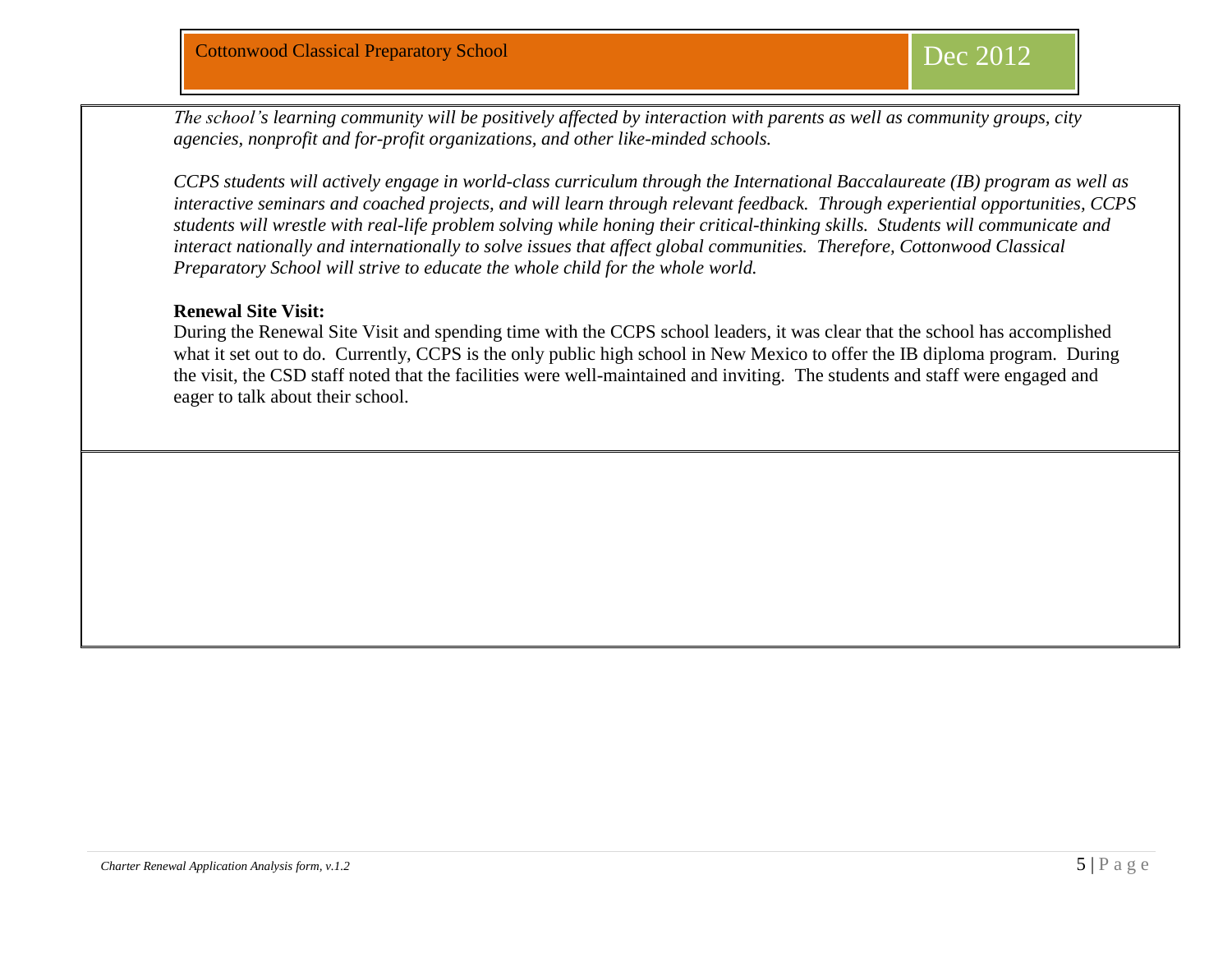*The school's learning community will be positively affected by interaction with parents as well as community groups, city agencies, nonprofit and for-profit organizations, and other like-minded schools.* 

*CCPS students will actively engage in world-class curriculum through the International Baccalaureate (IB) program as well as interactive seminars and coached projects, and will learn through relevant feedback. Through experiential opportunities, CCPS students will wrestle with real-life problem solving while honing their critical-thinking skills. Students will communicate and interact nationally and internationally to solve issues that affect global communities. Therefore, Cottonwood Classical Preparatory School will strive to educate the whole child for the whole world.* 

#### **Renewal Site Visit:**

During the Renewal Site Visit and spending time with the CCPS school leaders, it was clear that the school has accomplished what it set out to do. Currently, CCPS is the only public high school in New Mexico to offer the IB diploma program. During the visit, the CSD staff noted that the facilities were well-maintained and inviting. The students and staff were engaged and eager to talk about their school.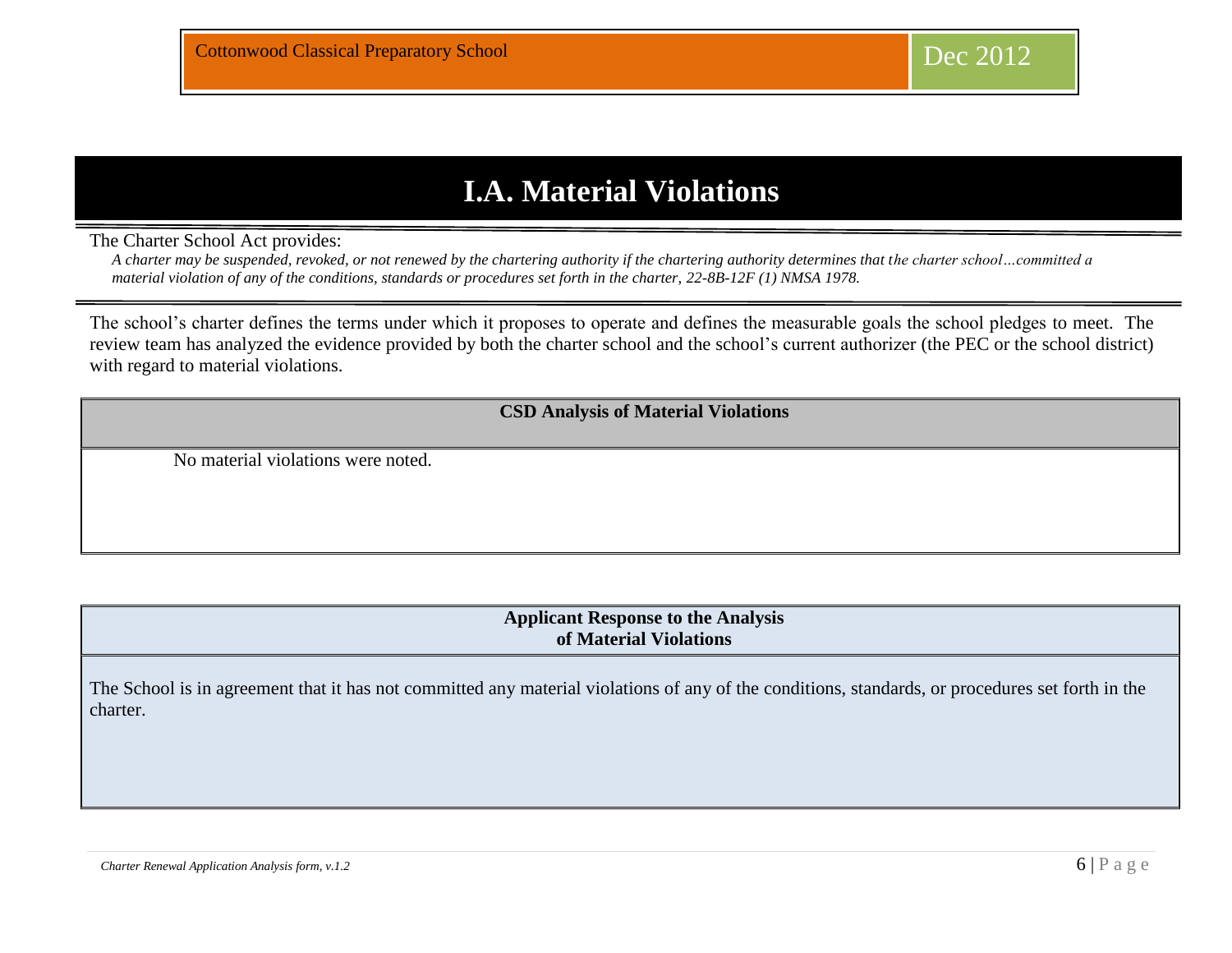# **I.A. Material Violations**

The Charter School Act provides:

*A charter may be suspended, revoked, or not renewed by the chartering authority if the chartering authority determines that the charter school…committed a material violation of any of the conditions, standards or procedures set forth in the charter, 22-8B-12F (1) NMSA 1978.* 

The school's charter defines the terms under which it proposes to operate and defines the measurable goals the school pledges to meet. The review team has analyzed the evidence provided by both the charter school and the school's current authorizer (the PEC or the school district) with regard to material violations.

**CSD Analysis of Material Violations**

No material violations were noted.

**Applicant Response to the Analysis of Material Violations**

The School is in agreement that it has not committed any material violations of any of the conditions, standards, or procedures set forth in the charter.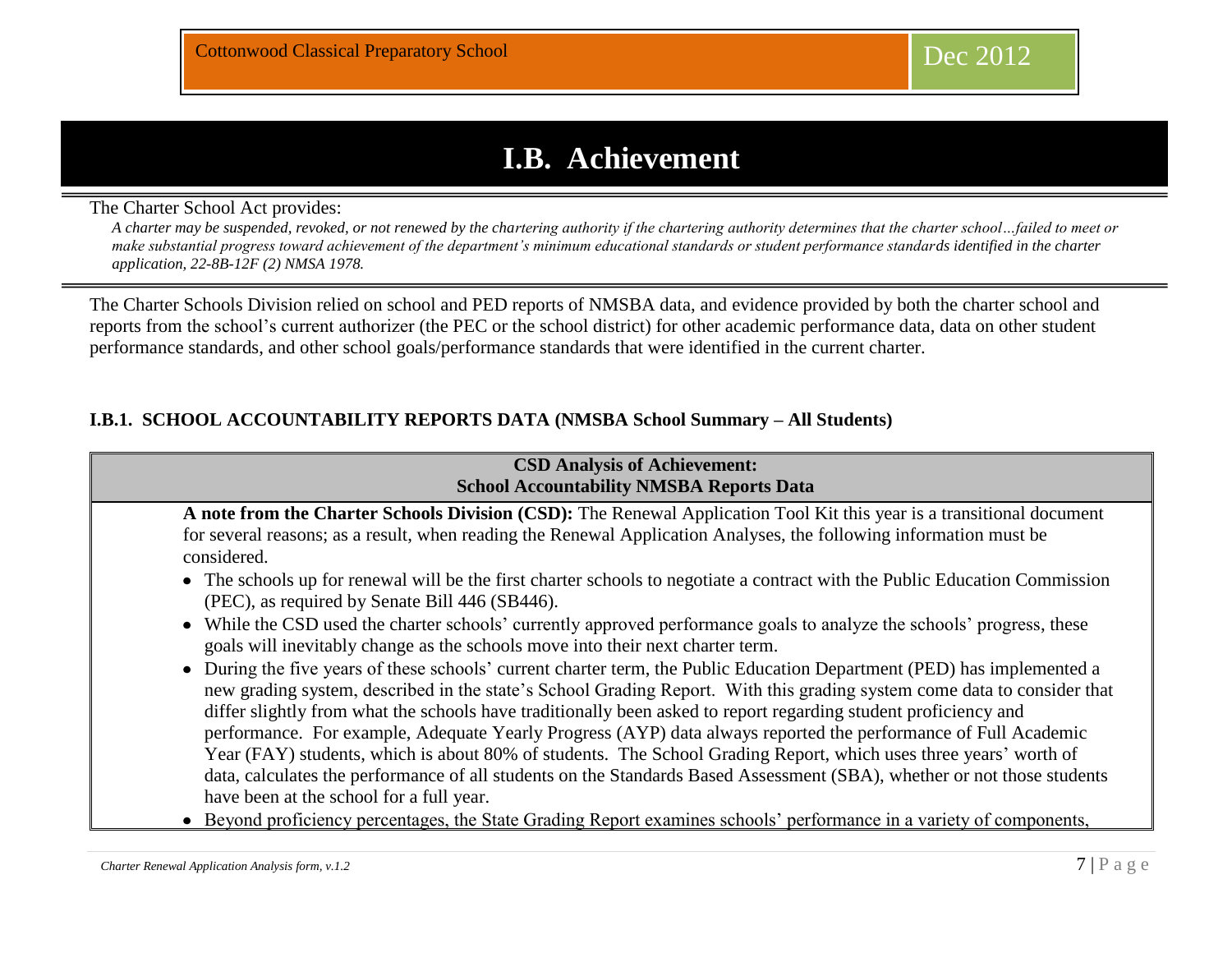# **I.B. Achievement**

The Charter School Act provides:

*A charter may be suspended, revoked, or not renewed by the chartering authority if the chartering authority determines that the charter school…failed to meet or make substantial progress toward achievement of the department's minimum educational standards or student performance standards identified in the charter application, 22-8B-12F (2) NMSA 1978.* 

The Charter Schools Division relied on school and PED reports of NMSBA data, and evidence provided by both the charter school and reports from the school's current authorizer (the PEC or the school district) for other academic performance data, data on other student performance standards, and other school goals/performance standards that were identified in the current charter.

## **I.B.1. SCHOOL ACCOUNTABILITY REPORTS DATA (NMSBA School Summary – All Students)**

| <b>CSD Analysis of Achievement:</b><br><b>School Accountability NMSBA Reports Data</b>                                                                                                                                                                                                                                                                                                                                                                                                  |  |  |  |  |  |  |  |  |  |
|-----------------------------------------------------------------------------------------------------------------------------------------------------------------------------------------------------------------------------------------------------------------------------------------------------------------------------------------------------------------------------------------------------------------------------------------------------------------------------------------|--|--|--|--|--|--|--|--|--|
| A note from the Charter Schools Division (CSD): The Renewal Application Tool Kit this year is a transitional document<br>for several reasons; as a result, when reading the Renewal Application Analyses, the following information must be<br>considered.                                                                                                                                                                                                                              |  |  |  |  |  |  |  |  |  |
| • The schools up for renewal will be the first charter schools to negotiate a contract with the Public Education Commission<br>(PEC), as required by Senate Bill 446 (SB446).<br>• While the CSD used the charter schools' currently approved performance goals to analyze the schools' progress, these<br>goals will inevitably change as the schools move into their next charter term.                                                                                               |  |  |  |  |  |  |  |  |  |
| • During the five years of these schools' current charter term, the Public Education Department (PED) has implemented a<br>new grading system, described in the state's School Grading Report. With this grading system come data to consider that<br>differ slightly from what the schools have traditionally been asked to report regarding student proficiency and<br>performance. For example, Adequate Yearly Progress (AYP) data always reported the performance of Full Academic |  |  |  |  |  |  |  |  |  |
| Year (FAY) students, which is about 80% of students. The School Grading Report, which uses three years' worth of<br>data, calculates the performance of all students on the Standards Based Assessment (SBA), whether or not those students<br>have been at the school for a full year.<br>• Beyond proficiency percentages, the State Grading Report examines schools' performance in a variety of components,                                                                         |  |  |  |  |  |  |  |  |  |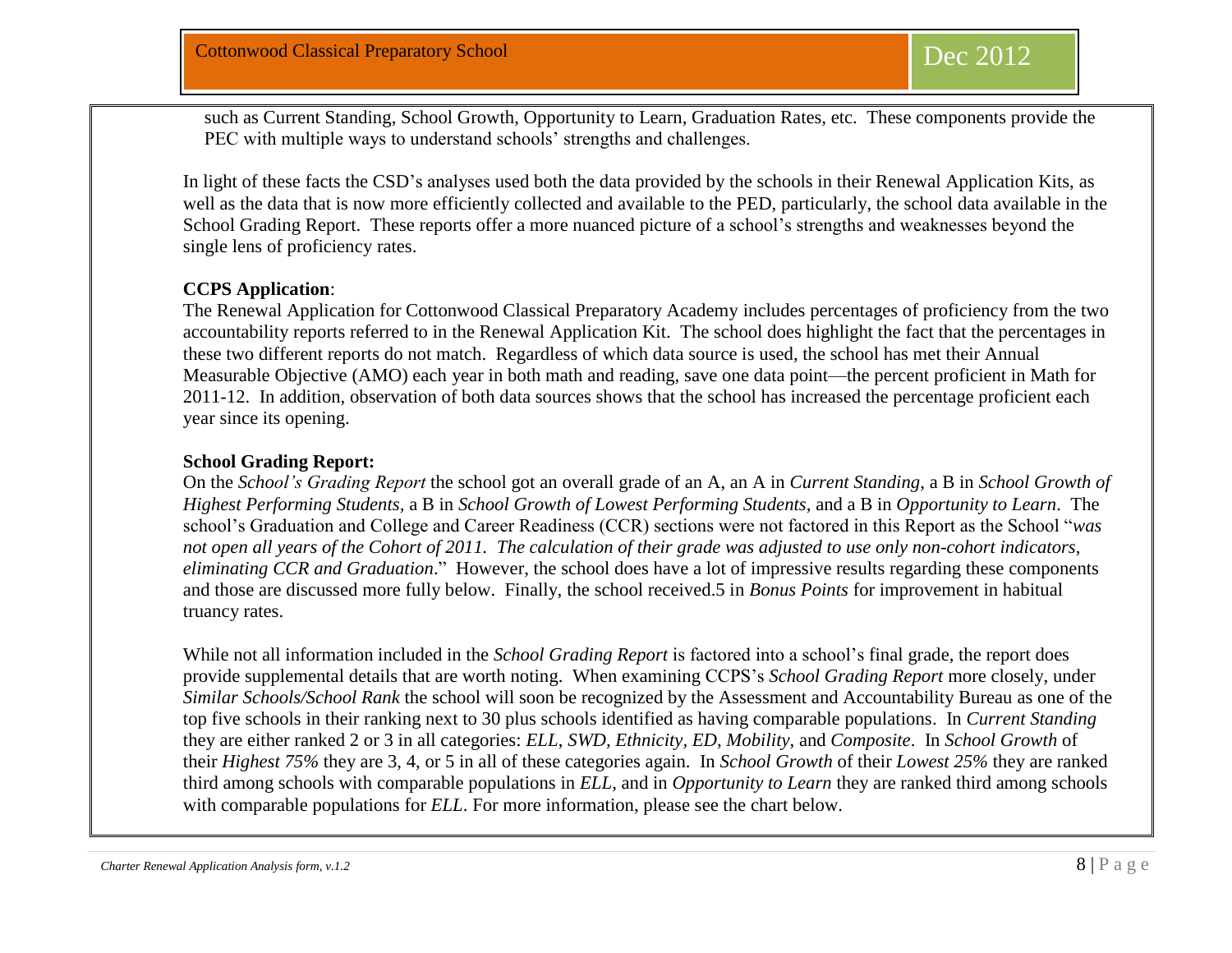such as Current Standing, School Growth, Opportunity to Learn, Graduation Rates, etc. These components provide the PEC with multiple ways to understand schools' strengths and challenges.

In light of these facts the CSD's analyses used both the data provided by the schools in their Renewal Application Kits, as well as the data that is now more efficiently collected and available to the PED, particularly, the school data available in the School Grading Report. These reports offer a more nuanced picture of a school's strengths and weaknesses beyond the single lens of proficiency rates.

#### **CCPS Application**:

The Renewal Application for Cottonwood Classical Preparatory Academy includes percentages of proficiency from the two accountability reports referred to in the Renewal Application Kit. The school does highlight the fact that the percentages in these two different reports do not match. Regardless of which data source is used, the school has met their Annual Measurable Objective (AMO) each year in both math and reading, save one data point—the percent proficient in Math for 2011-12. In addition, observation of both data sources shows that the school has increased the percentage proficient each year since its opening.

#### **School Grading Report:**

On the *School's Grading Report* the school got an overall grade of an A, an A in *Current Standing*, a B in *School Growth of Highest Performing Students,* a B in *School Growth of Lowest Performing Students*, and a B in *Opportunity to Learn*. The school's Graduation and College and Career Readiness (CCR) sections were not factored in this Report as the School "*was not open all years of the Cohort of 2011. The calculation of their grade was adjusted to use only non-cohort indicators, eliminating CCR and Graduation*." However, the school does have a lot of impressive results regarding these components and those are discussed more fully below. Finally, the school received.5 in *Bonus Points* for improvement in habitual truancy rates.

While not all information included in the *School Grading Report* is factored into a school's final grade, the report does provide supplemental details that are worth noting. When examining CCPS's *School Grading Report* more closely, under *Similar Schools/School Rank* the school will soon be recognized by the Assessment and Accountability Bureau as one of the top five schools in their ranking next to 30 plus schools identified as having comparable populations. In *Current Standing* they are either ranked 2 or 3 in all categories: *ELL*, *SWD, Ethnicity, ED, Mobility*, and *Composite*. In *School Growth* of their *Highest 75%* they are 3, 4, or 5 in all of these categories again. In *School Growth* of their *Lowest 25%* they are ranked third among schools with comparable populations in *ELL*, and in *Opportunity to Learn* they are ranked third among schools with comparable populations for *ELL*. For more information, please see the chart below.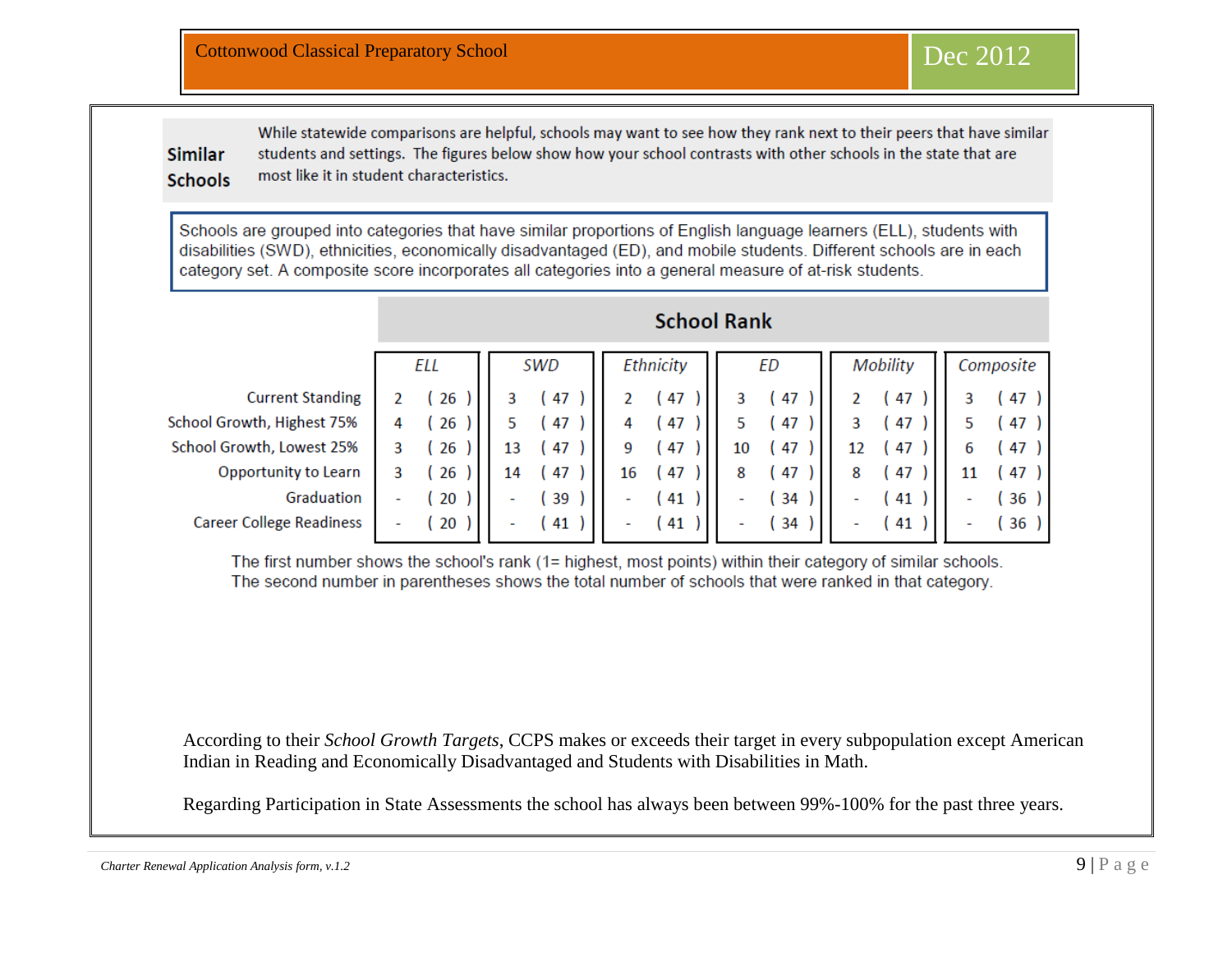**Similar Schools**  While statewide comparisons are helpful, schools may want to see how they rank next to their peers that have similar students and settings. The figures below show how your school contrasts with other schools in the state that are most like it in student characteristics.

Schools are grouped into categories that have similar proportions of English language learners (ELL), students with disabilities (SWD), ethnicities, economically disadvantaged (ED), and mobile students. Different schools are in each category set. A composite score incorporates all categories into a general measure of at-risk students.

|                                 | ELL |      | SWD |                     | Ethnicity |      | ЕD |      | Mobility |      | Composite |      |
|---------------------------------|-----|------|-----|---------------------|-----------|------|----|------|----------|------|-----------|------|
| <b>Current Standing</b>         |     | 26   |     | 47                  |           | 47   |    | 47   |          | 47   |           | 47)  |
| School Growth, Highest 75%      | 4   | (26) |     | 47                  |           | 47   |    | (47  |          | (47  |           | (47) |
| School Growth, Lowest 25%       |     | (26) | 13  | (47)                | 9         | 47   | 10 | (47) | 12       | (47) | 6         | (47) |
| Opportunity to Learn            |     | (26  | 14  | 47                  | 16        | 47   | 8  | (47  | 8        | (47  | 11        | (47) |
| Graduation                      | -   | (20) |     | 39                  | ۰         | 41   | ٠  | (34) | ۰        | (41  | -         | (36) |
| <b>Career College Readiness</b> | ٠   | (20) |     | $\left( 41 \right)$ | ۰.        | (41) | ۰  | (34  |          | (41  | ۰         | (36) |
|                                 |     |      |     |                     |           |      |    |      |          |      |           |      |

## **School Rank**

The first number shows the school's rank (1= highest, most points) within their category of similar schools. The second number in parentheses shows the total number of schools that were ranked in that category.

According to their *School Growth Targets*, CCPS makes or exceeds their target in every subpopulation except American Indian in Reading and Economically Disadvantaged and Students with Disabilities in Math.

Regarding Participation in State Assessments the school has always been between 99%-100% for the past three years.

*Charter Renewal Application Analysis form, v.1.2* 9 | P a g e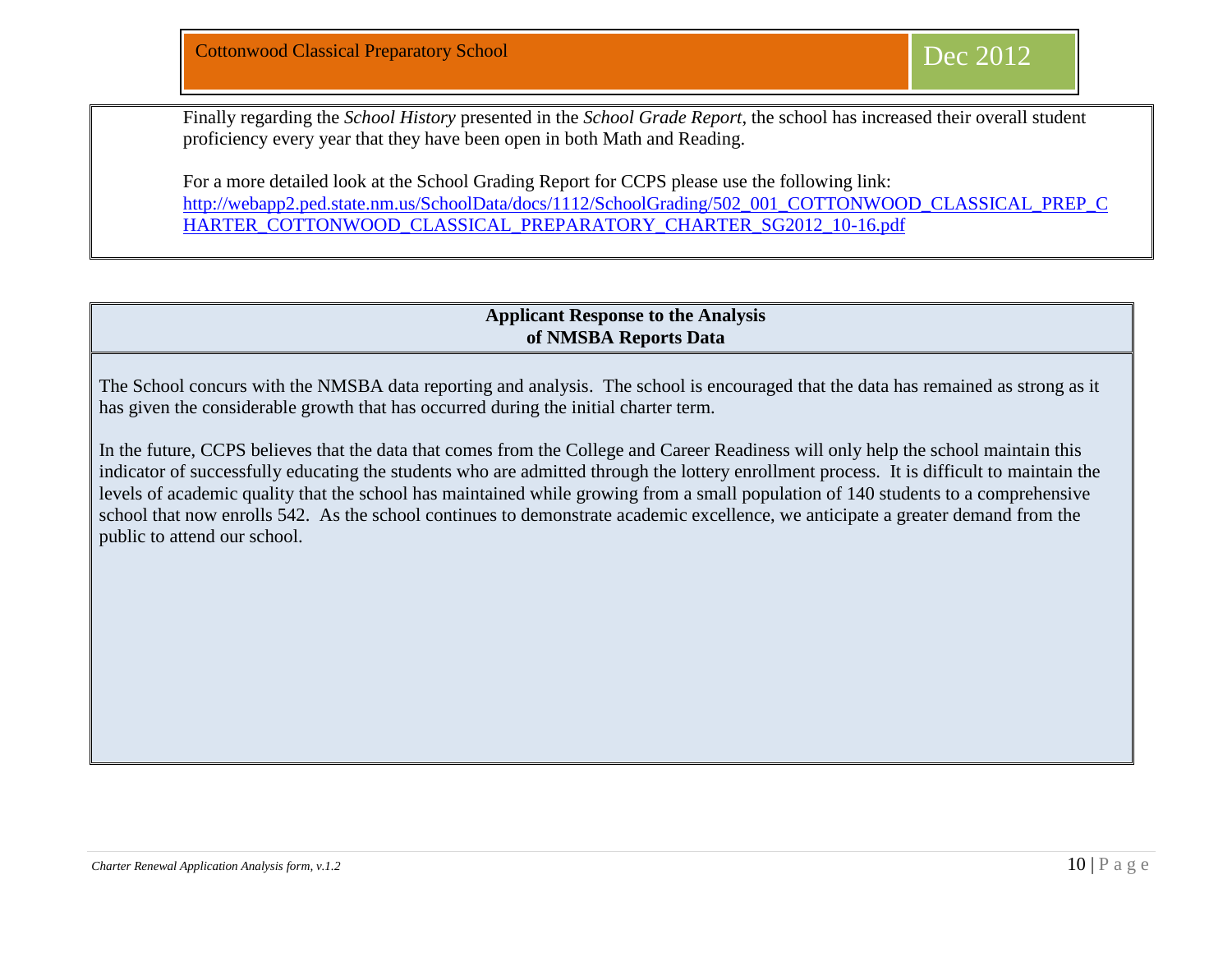Finally regarding the *School History* presented in the *School Grade Report*, the school has increased their overall student proficiency every year that they have been open in both Math and Reading.

For a more detailed look at the School Grading Report for CCPS please use the following link: [http://webapp2.ped.state.nm.us/SchoolData/docs/1112/SchoolGrading/502\\_001\\_COTTONWOOD\\_CLASSICAL\\_PREP\\_C](http://webapp2.ped.state.nm.us/SchoolData/docs/1112/SchoolGrading/502_001_COTTONWOOD_CLASSICAL_PREP_CHARTER_COTTONWOOD_CLASSICAL_PREPARATORY_CHARTER_SG2012_10-16.pdf) [HARTER\\_COTTONWOOD\\_CLASSICAL\\_PREPARATORY\\_CHARTER\\_SG2012\\_10-16.pdf](http://webapp2.ped.state.nm.us/SchoolData/docs/1112/SchoolGrading/502_001_COTTONWOOD_CLASSICAL_PREP_CHARTER_COTTONWOOD_CLASSICAL_PREPARATORY_CHARTER_SG2012_10-16.pdf)

#### **Applicant Response to the Analysis of NMSBA Reports Data**

The School concurs with the NMSBA data reporting and analysis. The school is encouraged that the data has remained as strong as it has given the considerable growth that has occurred during the initial charter term.

In the future, CCPS believes that the data that comes from the College and Career Readiness will only help the school maintain this indicator of successfully educating the students who are admitted through the lottery enrollment process. It is difficult to maintain the levels of academic quality that the school has maintained while growing from a small population of 140 students to a comprehensive school that now enrolls 542. As the school continues to demonstrate academic excellence, we anticipate a greater demand from the public to attend our school.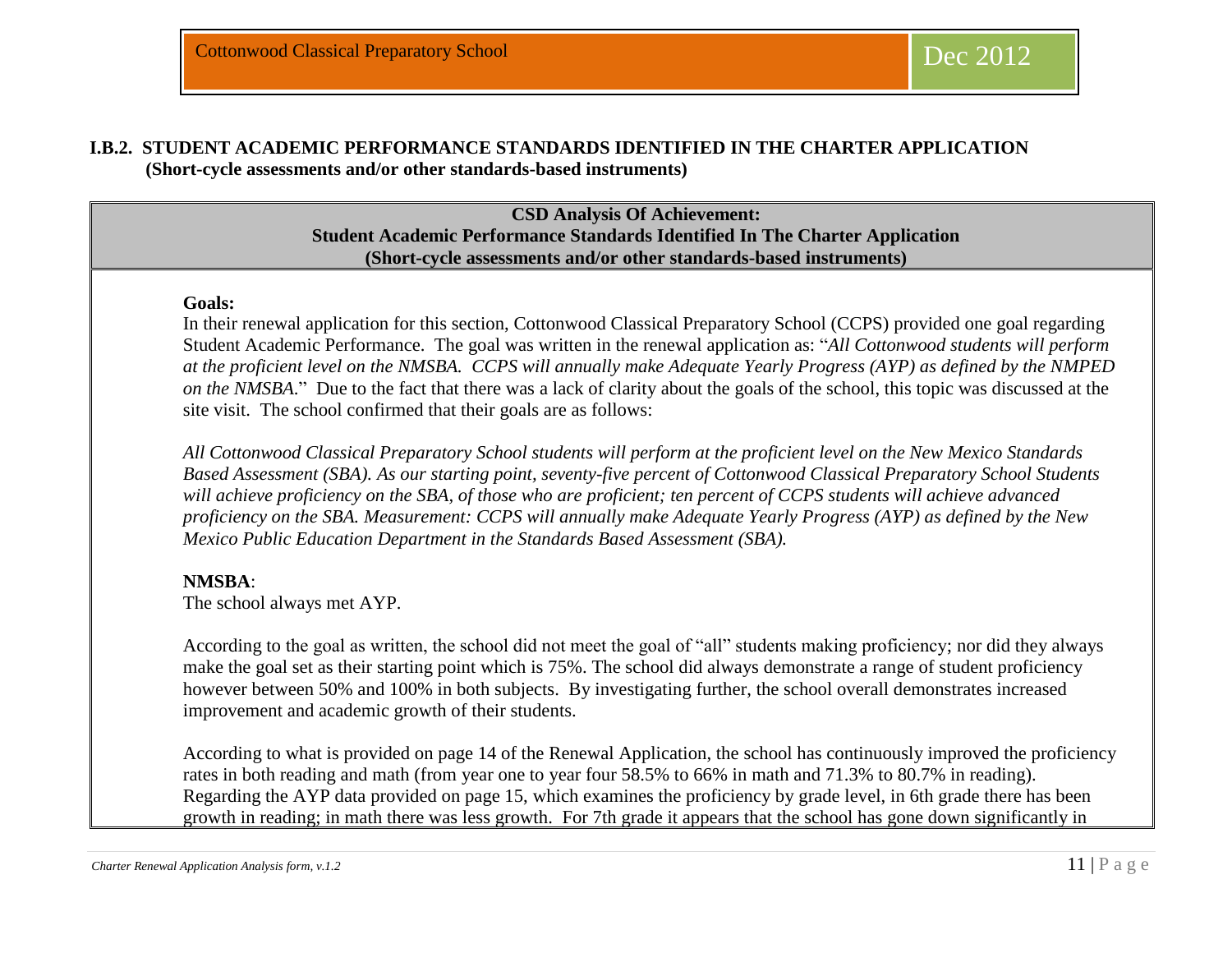#### **I.B.2. STUDENT ACADEMIC PERFORMANCE STANDARDS IDENTIFIED IN THE CHARTER APPLICATION (Short-cycle assessments and/or other standards-based instruments)**

### **CSD Analysis Of Achievement: Student Academic Performance Standards Identified In The Charter Application (Short-cycle assessments and/or other standards-based instruments)**

#### **Goals:**

 $\overline{a}$ 

In their renewal application for this section, Cottonwood Classical Preparatory School (CCPS) provided one goal regarding Student Academic Performance. The goal was written in the renewal application as: "*All Cottonwood students will perform at the proficient level on the NMSBA. CCPS will annually make Adequate Yearly Progress (AYP) as defined by the NMPED on the NMSBA*." Due to the fact that there was a lack of clarity about the goals of the school, this topic was discussed at the site visit. The school confirmed that their goals are as follows:

*All Cottonwood Classical Preparatory School students will perform at the proficient level on the New Mexico Standards Based Assessment (SBA). As our starting point, seventy-five percent of Cottonwood Classical Preparatory School Students will achieve proficiency on the SBA, of those who are proficient; ten percent of CCPS students will achieve advanced proficiency on the SBA. Measurement: CCPS will annually make Adequate Yearly Progress (AYP) as defined by the New Mexico Public Education Department in the Standards Based Assessment (SBA).* 

#### **NMSBA**:

The school always met AYP.

According to the goal as written, the school did not meet the goal of "all" students making proficiency; nor did they always make the goal set as their starting point which is 75%. The school did always demonstrate a range of student proficiency however between 50% and 100% in both subjects. By investigating further, the school overall demonstrates increased improvement and academic growth of their students.

According to what is provided on page 14 of the Renewal Application, the school has continuously improved the proficiency rates in both reading and math (from year one to year four 58.5% to 66% in math and 71.3% to 80.7% in reading). Regarding the AYP data provided on page 15, which examines the proficiency by grade level, in 6th grade there has been growth in reading; in math there was less growth. For 7th grade it appears that the school has gone down significantly in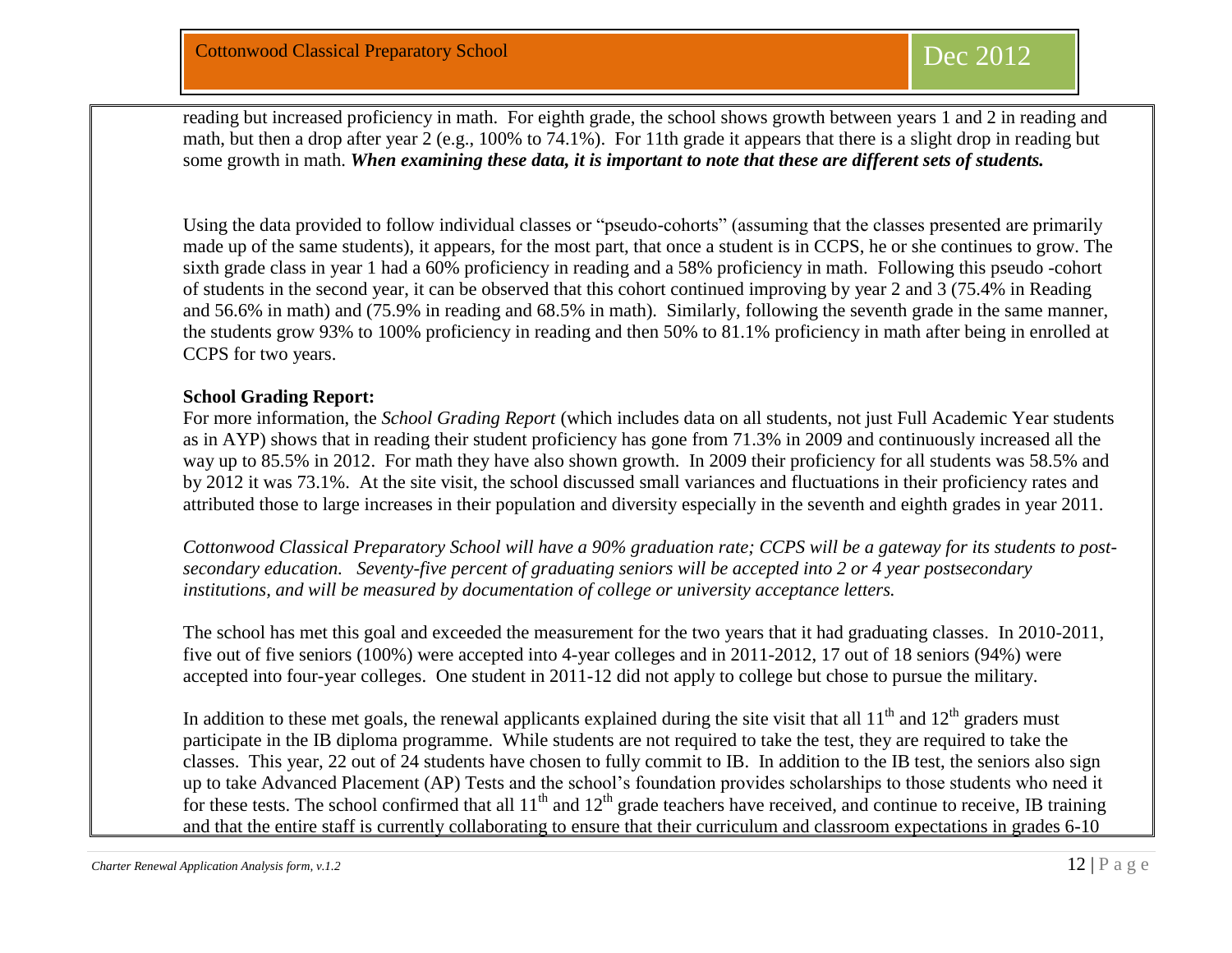reading but increased proficiency in math. For eighth grade, the school shows growth between years 1 and 2 in reading and math, but then a drop after year 2 (e.g., 100% to 74.1%). For 11th grade it appears that there is a slight drop in reading but some growth in math. *When examining these data, it is important to note that these are different sets of students.*

Using the data provided to follow individual classes or "pseudo-cohorts" (assuming that the classes presented are primarily made up of the same students), it appears, for the most part, that once a student is in CCPS, he or she continues to grow. The sixth grade class in year 1 had a 60% proficiency in reading and a 58% proficiency in math. Following this pseudo -cohort of students in the second year, it can be observed that this cohort continued improving by year 2 and 3 (75.4% in Reading and 56.6% in math) and (75.9% in reading and 68.5% in math). Similarly, following the seventh grade in the same manner, the students grow 93% to 100% proficiency in reading and then 50% to 81.1% proficiency in math after being in enrolled at CCPS for two years.

#### **School Grading Report:**

For more information, the *School Grading Report* (which includes data on all students, not just Full Academic Year students as in AYP) shows that in reading their student proficiency has gone from 71.3% in 2009 and continuously increased all the way up to 85.5% in 2012. For math they have also shown growth. In 2009 their proficiency for all students was 58.5% and by 2012 it was 73.1%. At the site visit, the school discussed small variances and fluctuations in their proficiency rates and attributed those to large increases in their population and diversity especially in the seventh and eighth grades in year 2011.

*Cottonwood Classical Preparatory School will have a 90% graduation rate; CCPS will be a gateway for its students to postsecondary education. Seventy-five percent of graduating seniors will be accepted into 2 or 4 year postsecondary institutions, and will be measured by documentation of college or university acceptance letters.* 

The school has met this goal and exceeded the measurement for the two years that it had graduating classes. In 2010-2011, five out of five seniors (100%) were accepted into 4-year colleges and in 2011-2012, 17 out of 18 seniors (94%) were accepted into four-year colleges. One student in 2011-12 did not apply to college but chose to pursue the military.

In addition to these met goals, the renewal applicants explained during the site visit that all  $11<sup>th</sup>$  and  $12<sup>th</sup>$  graders must participate in the IB diploma programme. While students are not required to take the test, they are required to take the classes. This year, 22 out of 24 students have chosen to fully commit to IB. In addition to the IB test, the seniors also sign up to take Advanced Placement (AP) Tests and the school's foundation provides scholarships to those students who need it for these tests. The school confirmed that all  $11<sup>th</sup>$  and  $12<sup>th</sup>$  grade teachers have received, and continue to receive, IB training and that the entire staff is currently collaborating to ensure that their curriculum and classroom expectations in grades 6-10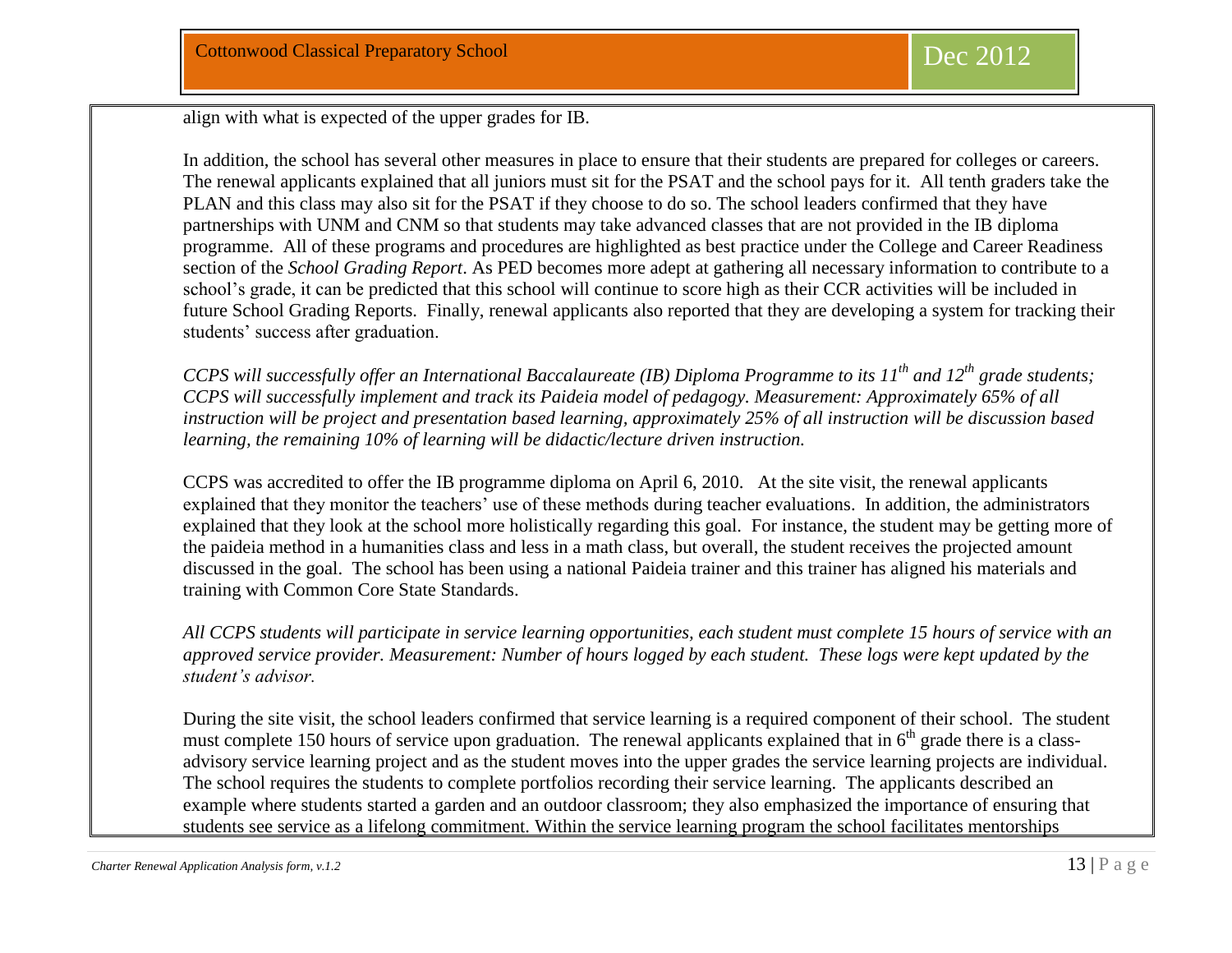align with what is expected of the upper grades for IB.

In addition, the school has several other measures in place to ensure that their students are prepared for colleges or careers. The renewal applicants explained that all juniors must sit for the PSAT and the school pays for it. All tenth graders take the PLAN and this class may also sit for the PSAT if they choose to do so. The school leaders confirmed that they have partnerships with UNM and CNM so that students may take advanced classes that are not provided in the IB diploma programme. All of these programs and procedures are highlighted as best practice under the College and Career Readiness section of the *School Grading Report*. As PED becomes more adept at gathering all necessary information to contribute to a school's grade, it can be predicted that this school will continue to score high as their CCR activities will be included in future School Grading Reports. Finally, renewal applicants also reported that they are developing a system for tracking their students' success after graduation.

*CCPS will successfully offer an International Baccalaureate (IB) Diploma Programme to its 11th and 12th grade students; CCPS will successfully implement and track its Paideia model of pedagogy. Measurement: Approximately 65% of all instruction will be project and presentation based learning, approximately 25% of all instruction will be discussion based learning, the remaining 10% of learning will be didactic/lecture driven instruction.* 

CCPS was accredited to offer the IB programme diploma on April 6, 2010. At the site visit, the renewal applicants explained that they monitor the teachers' use of these methods during teacher evaluations. In addition, the administrators explained that they look at the school more holistically regarding this goal. For instance, the student may be getting more of the paideia method in a humanities class and less in a math class, but overall, the student receives the projected amount discussed in the goal. The school has been using a national Paideia trainer and this trainer has aligned his materials and training with Common Core State Standards.

*All CCPS students will participate in service learning opportunities, each student must complete 15 hours of service with an approved service provider. Measurement: Number of hours logged by each student. These logs were kept updated by the student's advisor.*

During the site visit, the school leaders confirmed that service learning is a required component of their school. The student must complete 150 hours of service upon graduation. The renewal applicants explained that in 6<sup>th</sup> grade there is a classadvisory service learning project and as the student moves into the upper grades the service learning projects are individual. The school requires the students to complete portfolios recording their service learning. The applicants described an example where students started a garden and an outdoor classroom; they also emphasized the importance of ensuring that students see service as a lifelong commitment. Within the service learning program the school facilitates mentorships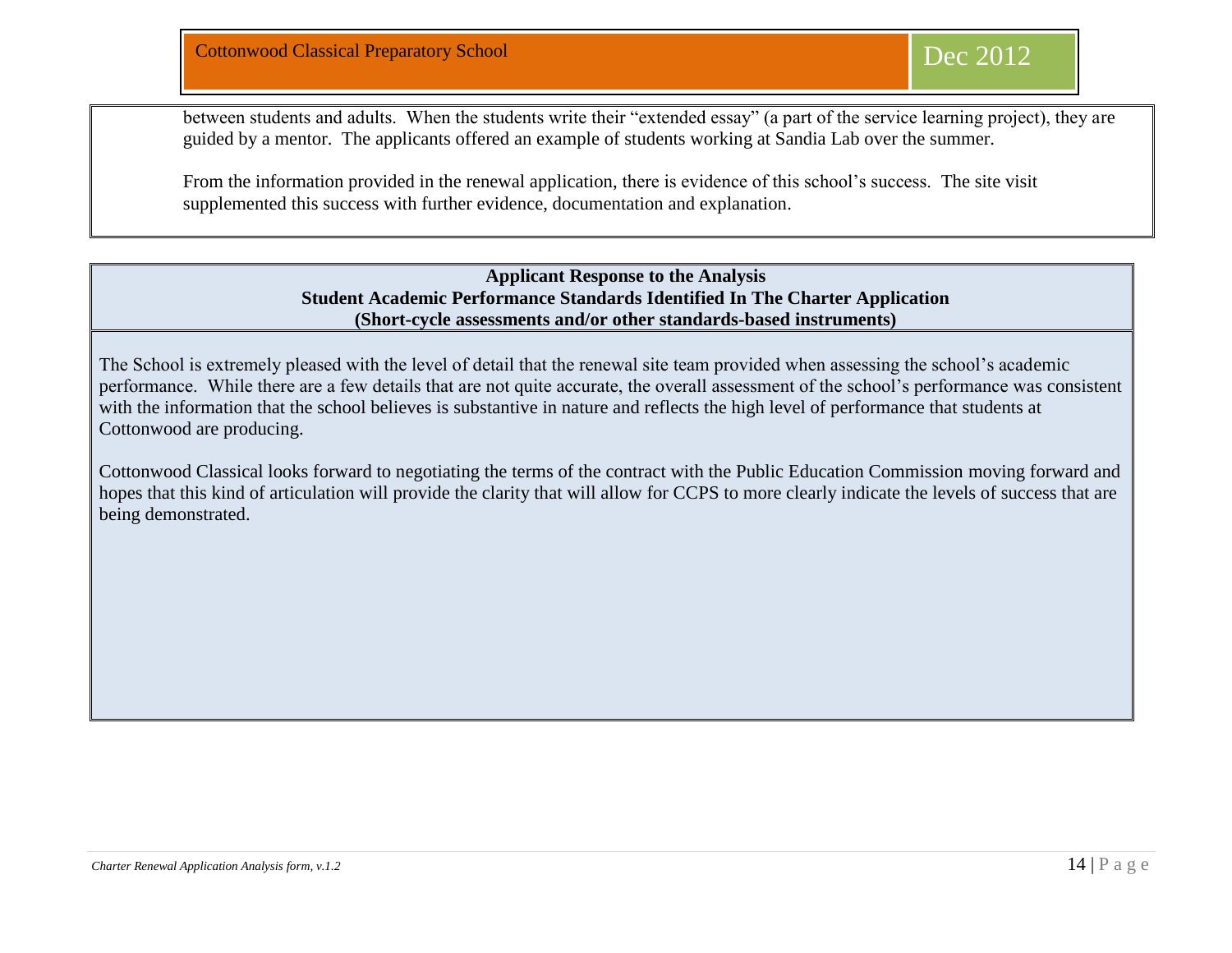between students and adults. When the students write their "extended essay" (a part of the service learning project), they are guided by a mentor. The applicants offered an example of students working at Sandia Lab over the summer.

From the information provided in the renewal application, there is evidence of this school's success. The site visit supplemented this success with further evidence, documentation and explanation.

> **Applicant Response to the Analysis Student Academic Performance Standards Identified In The Charter Application (Short-cycle assessments and/or other standards-based instruments)**

The School is extremely pleased with the level of detail that the renewal site team provided when assessing the school's academic performance. While there are a few details that are not quite accurate, the overall assessment of the school's performance was consistent with the information that the school believes is substantive in nature and reflects the high level of performance that students at Cottonwood are producing.

Cottonwood Classical looks forward to negotiating the terms of the contract with the Public Education Commission moving forward and hopes that this kind of articulation will provide the clarity that will allow for CCPS to more clearly indicate the levels of success that are being demonstrated.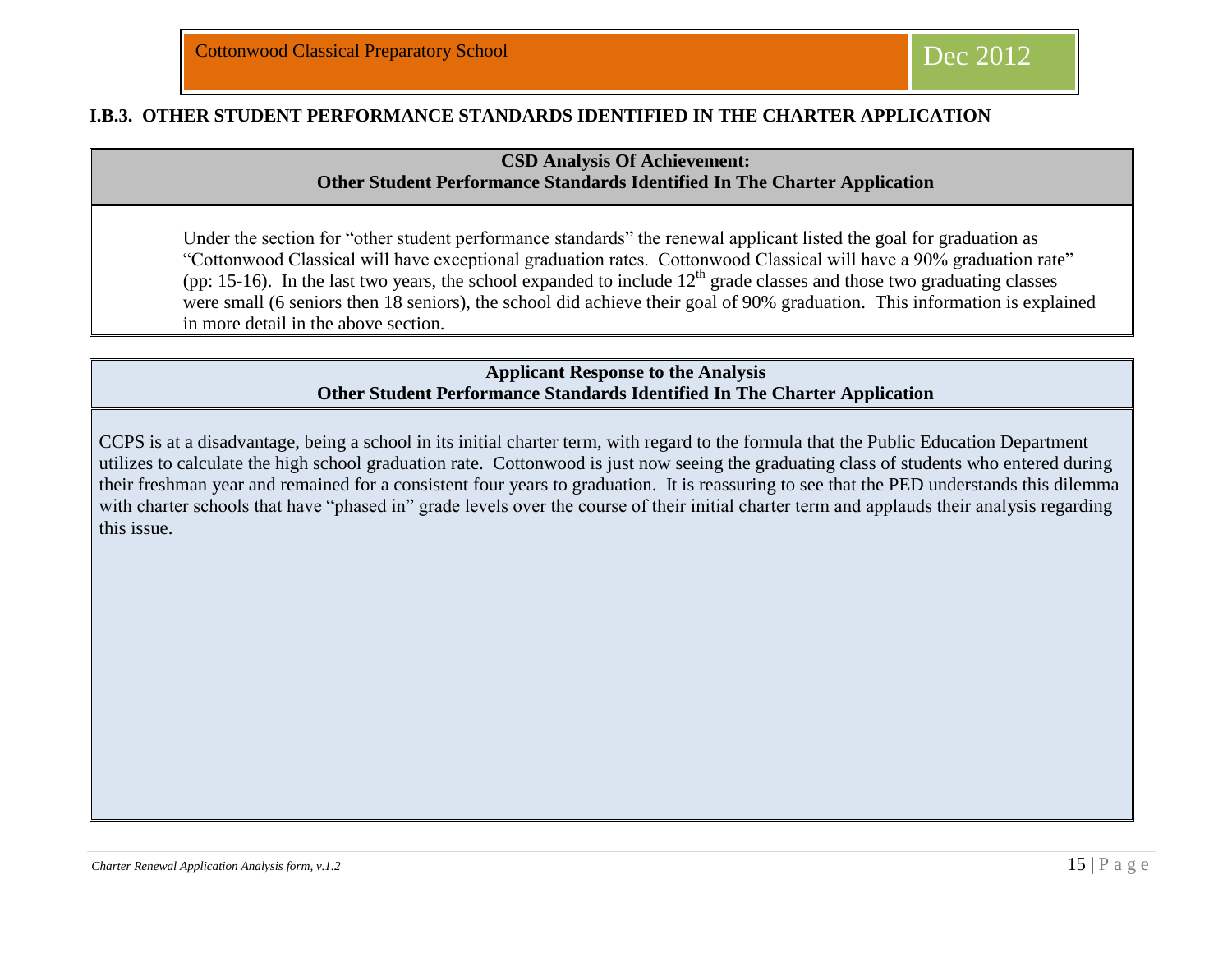#### **I.B.3. OTHER STUDENT PERFORMANCE STANDARDS IDENTIFIED IN THE CHARTER APPLICATION**

### **CSD Analysis Of Achievement: Other Student Performance Standards Identified In The Charter Application**

Under the section for "other student performance standards" the renewal applicant listed the goal for graduation as "Cottonwood Classical will have exceptional graduation rates. Cottonwood Classical will have a 90% graduation rate" (pp: 15-16). In the last two years, the school expanded to include  $12<sup>th</sup>$  grade classes and those two graduating classes were small (6 seniors then 18 seniors), the school did achieve their goal of 90% graduation. This information is explained in more detail in the above section.

#### **Applicant Response to the Analysis Other Student Performance Standards Identified In The Charter Application**

CCPS is at a disadvantage, being a school in its initial charter term, with regard to the formula that the Public Education Department utilizes to calculate the high school graduation rate. Cottonwood is just now seeing the graduating class of students who entered during their freshman year and remained for a consistent four years to graduation. It is reassuring to see that the PED understands this dilemma with charter schools that have "phased in" grade levels over the course of their initial charter term and applauds their analysis regarding this issue.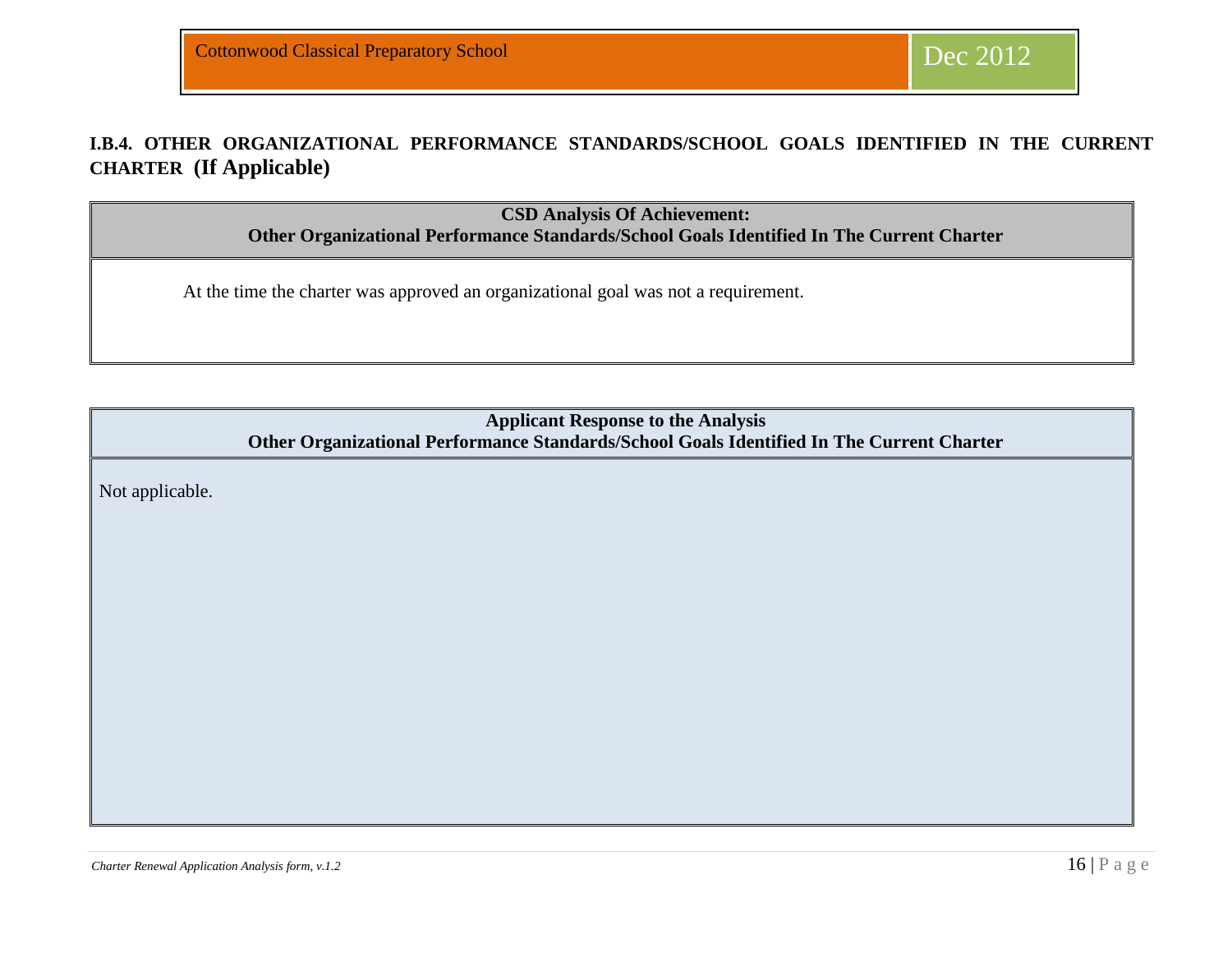## **I.B.4. OTHER ORGANIZATIONAL PERFORMANCE STANDARDS/SCHOOL GOALS IDENTIFIED IN THE CURRENT CHARTER (If Applicable)**

**CSD Analysis Of Achievement:** 

**Other Organizational Performance Standards/School Goals Identified In The Current Charter**

At the time the charter was approved an organizational goal was not a requirement.

**Applicant Response to the Analysis Other Organizational Performance Standards/School Goals Identified In The Current Charter**

Not applicable.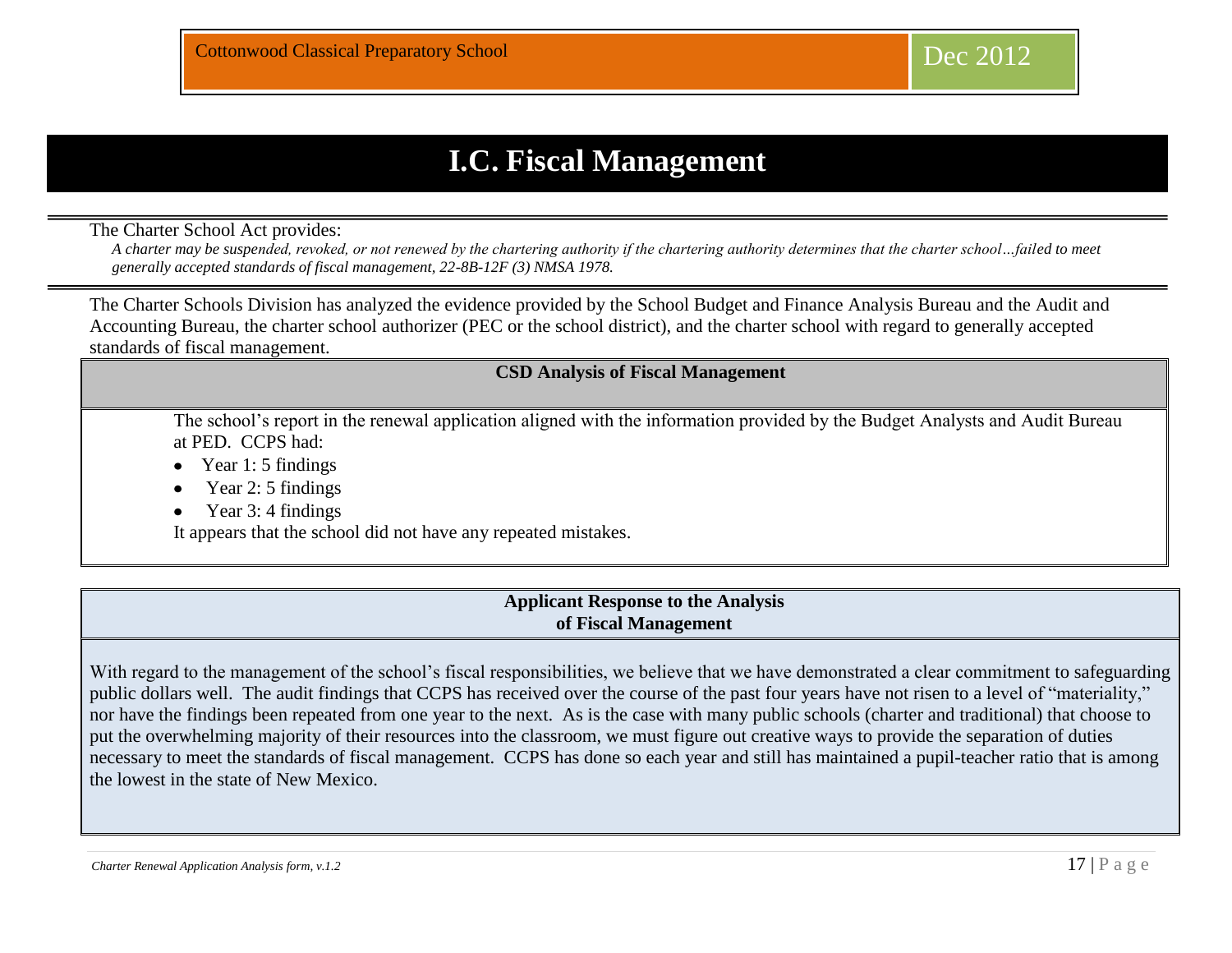# **I.C. Fiscal Management**

The Charter School Act provides:

*A charter may be suspended, revoked, or not renewed by the chartering authority if the chartering authority determines that the charter school…failed to meet generally accepted standards of fiscal management, 22-8B-12F (3) NMSA 1978.* 

The Charter Schools Division has analyzed the evidence provided by the School Budget and Finance Analysis Bureau and the Audit and Accounting Bureau, the charter school authorizer (PEC or the school district), and the charter school with regard to generally accepted standards of fiscal management.

## **CSD Analysis of Fiscal Management**

The school's report in the renewal application aligned with the information provided by the Budget Analysts and Audit Bureau at PED. CCPS had:

- Year 1: 5 findings
- Year 2: 5 findings
- Year 3: 4 findings

It appears that the school did not have any repeated mistakes.

#### **Applicant Response to the Analysis of Fiscal Management**

With regard to the management of the school's fiscal responsibilities, we believe that we have demonstrated a clear commitment to safeguarding public dollars well. The audit findings that CCPS has received over the course of the past four years have not risen to a level of "materiality," nor have the findings been repeated from one year to the next. As is the case with many public schools (charter and traditional) that choose to put the overwhelming majority of their resources into the classroom, we must figure out creative ways to provide the separation of duties necessary to meet the standards of fiscal management. CCPS has done so each year and still has maintained a pupil-teacher ratio that is among the lowest in the state of New Mexico.